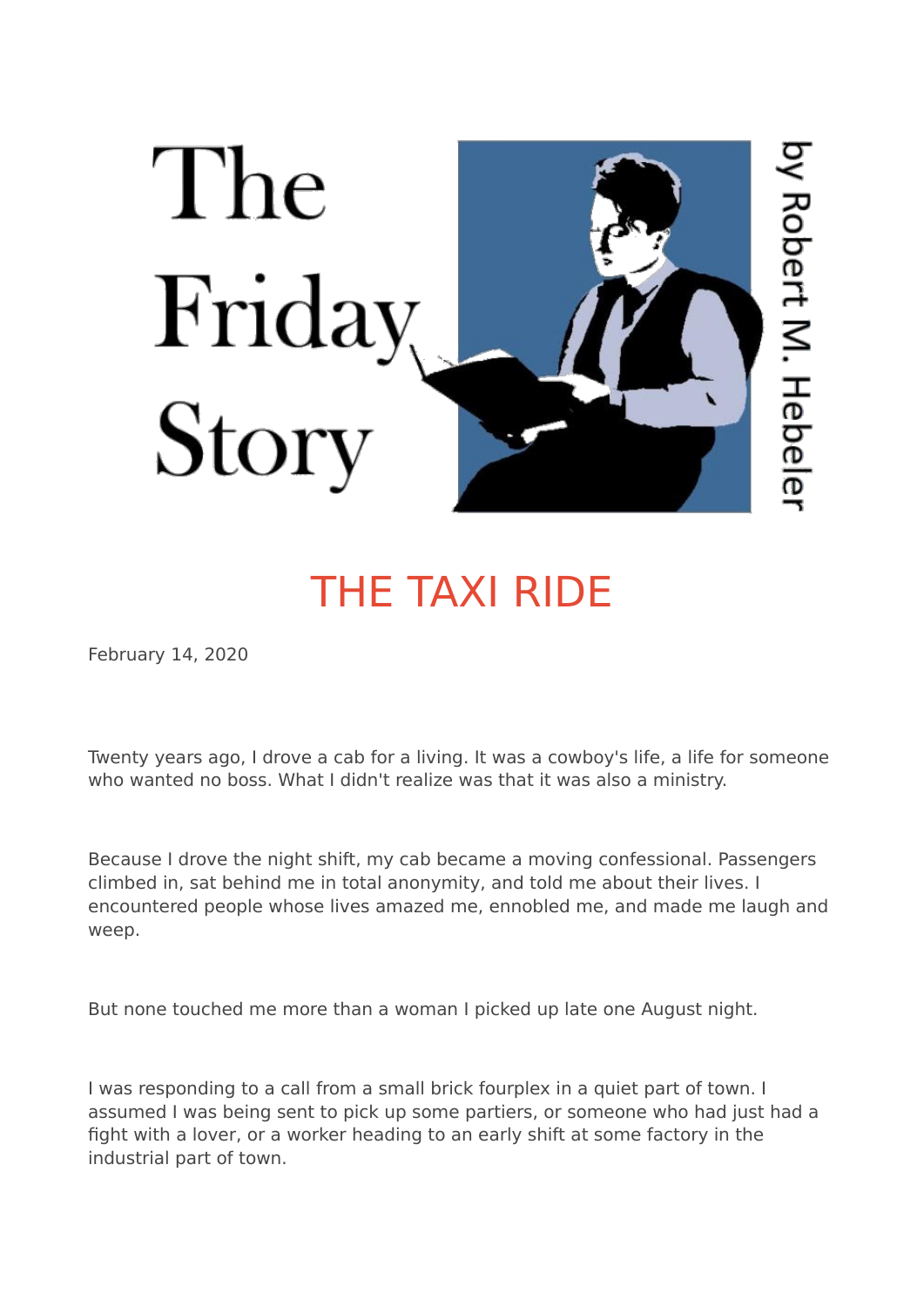

## [THE TAXI RIDE](https://www.thefridaystory.com/stories/the-taxi-ride)

February 14, 2020

Twenty years ago, I drove a cab for a living. It was a cowboy's life, a life for someone who wanted no boss. What I didn't realize was that it was also a ministry.

Because I drove the night shift, my cab became a moving confessional. Passengers climbed in, sat behind me in total anonymity, and told me about their lives. I encountered people whose lives amazed me, ennobled me, and made me laugh and weep.

But none touched me more than a woman I picked up late one August night.

I was responding to a call from a small brick fourplex in a quiet part of town. I assumed I was being sent to pick up some partiers, or someone who had just had a fight with a lover, or a worker heading to an early shift at some factory in the industrial part of town.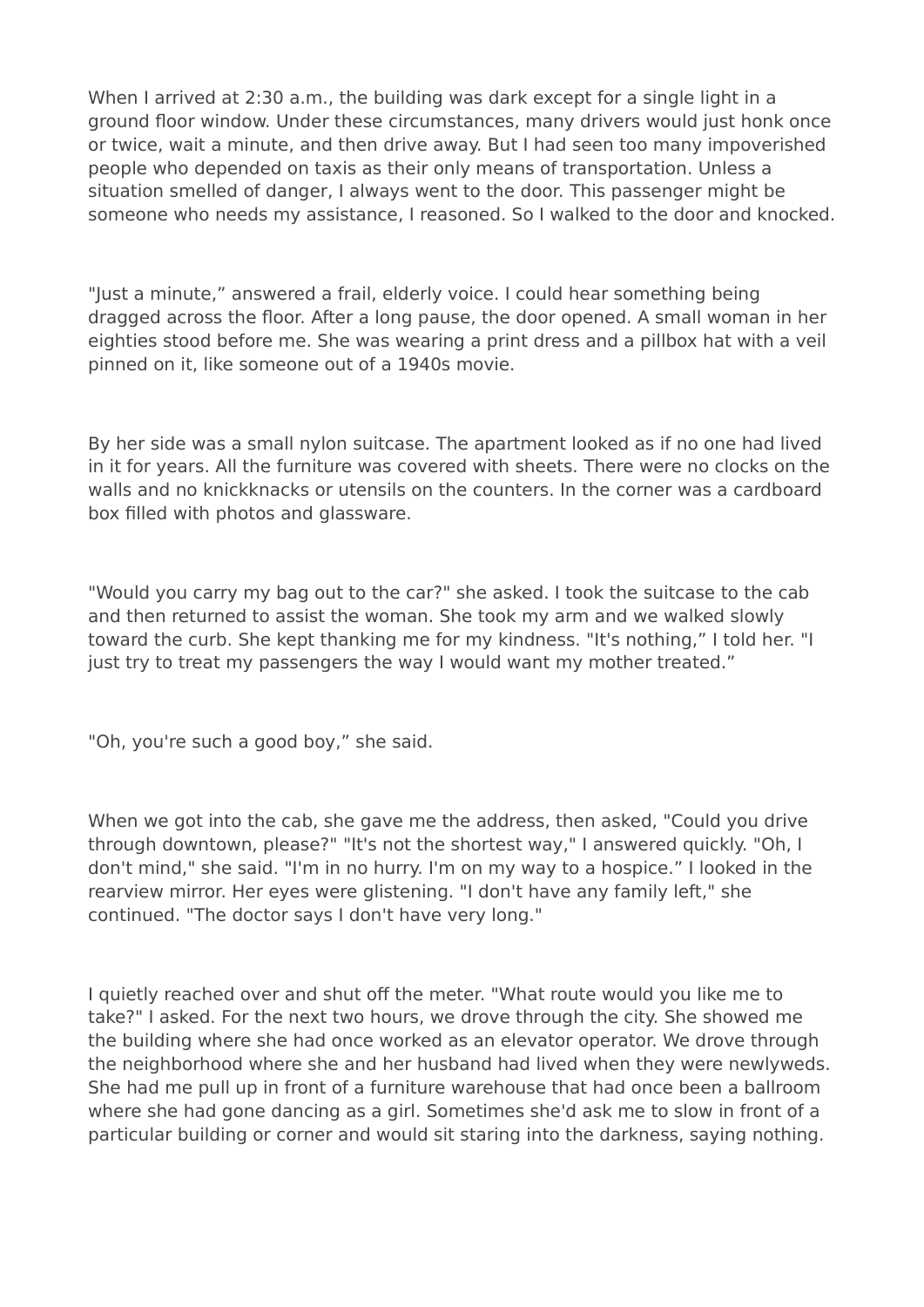When I arrived at 2:30 a.m., the building was dark except for a single light in a ground floor window. Under these circumstances, many drivers would just honk once or twice, wait a minute, and then drive away. But I had seen too many impoverished people who depended on taxis as their only means of transportation. Unless a situation smelled of danger, I always went to the door. This passenger might be someone who needs my assistance, I reasoned. So I walked to the door and knocked.

"Just a minute," answered a frail, elderly voice. I could hear something being dragged across the floor. After a long pause, the door opened. A small woman in her eighties stood before me. She was wearing a print dress and a pillbox hat with a veil pinned on it, like someone out of a 1940s movie.

By her side was a small nylon suitcase. The apartment looked as if no one had lived in it for years. All the furniture was covered with sheets. There were no clocks on the walls and no knickknacks or utensils on the counters. In the corner was a cardboard box filled with photos and glassware.

"Would you carry my bag out to the car?" she asked. I took the suitcase to the cab and then returned to assist the woman. She took my arm and we walked slowly toward the curb. She kept thanking me for my kindness. "It's nothing," I told her. "I just try to treat my passengers the way I would want my mother treated."

"Oh, you're such a good boy," she said.

When we got into the cab, she gave me the address, then asked, "Could you drive through downtown, please?" "It's not the shortest way," I answered quickly. "Oh, I don't mind," she said. "I'm in no hurry. I'm on my way to a hospice." I looked in the rearview mirror. Her eyes were glistening. "I don't have any family left," she continued. "The doctor says I don't have very long."

I quietly reached over and shut off the meter. "What route would you like me to take?" I asked. For the next two hours, we drove through the city. She showed me the building where she had once worked as an elevator operator. We drove through the neighborhood where she and her husband had lived when they were newlyweds. She had me pull up in front of a furniture warehouse that had once been a ballroom where she had gone dancing as a girl. Sometimes she'd ask me to slow in front of a particular building or corner and would sit staring into the darkness, saying nothing.